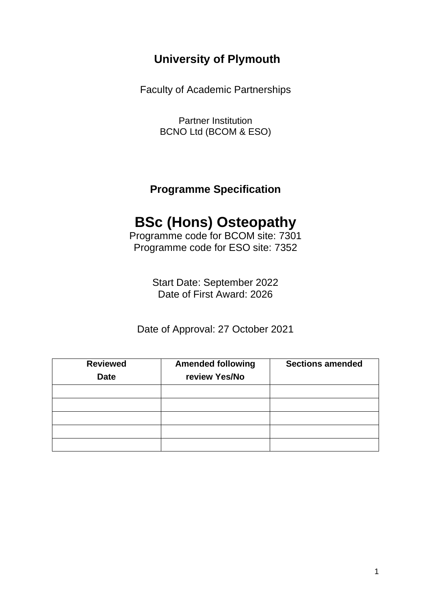# **University of Plymouth**

Faculty of Academic Partnerships

Partner Institution BCNO Ltd (BCOM & ESO)

**Programme Specification**

# **BSc (Hons) Osteopathy**

Programme code for BCOM site: 7301 Programme code for ESO site: 7352

> Start Date: September 2022 Date of First Award: 2026

Date of Approval: 27 October 2021

| <b>Reviewed</b><br><b>Date</b> | <b>Amended following</b><br>review Yes/No | <b>Sections amended</b> |
|--------------------------------|-------------------------------------------|-------------------------|
|                                |                                           |                         |
|                                |                                           |                         |
|                                |                                           |                         |
|                                |                                           |                         |
|                                |                                           |                         |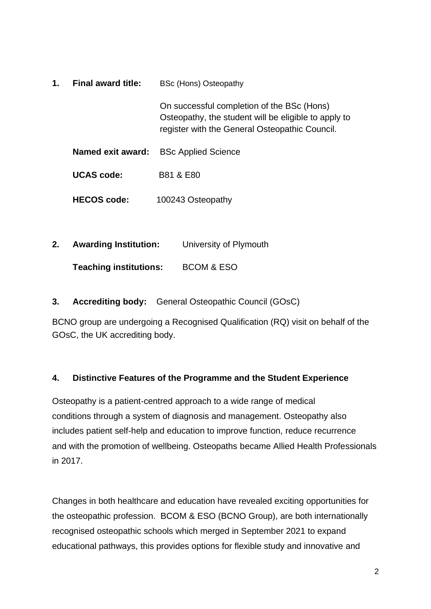| 1. | Final award title: | <b>BSc (Hons) Osteopathy</b>                                                                                                                         |
|----|--------------------|------------------------------------------------------------------------------------------------------------------------------------------------------|
|    |                    | On successful completion of the BSc (Hons)<br>Osteopathy, the student will be eligible to apply to<br>register with the General Osteopathic Council. |
|    | Named exit award:  | <b>BSc Applied Science</b>                                                                                                                           |
|    | <b>UCAS</b> code:  | <b>B81 &amp; E80</b>                                                                                                                                 |
|    | HECOS code:        | 100243 Osteopathy                                                                                                                                    |

**2. Awarding Institution:** University of Plymouth

**Teaching institutions:** BCOM & ESO

**3. Accrediting body:** General Osteopathic Council (GOsC)

BCNO group are undergoing a Recognised Qualification (RQ) visit on behalf of the GOsC, the UK accrediting body.

## **4. Distinctive Features of the Programme and the Student Experience**

Osteopathy is a patient-centred approach to a wide range of medical conditions through a system of diagnosis and management. Osteopathy also includes patient self-help and education to improve function, reduce recurrence and with the promotion of wellbeing. Osteopaths became Allied Health Professionals in 2017.

Changes in both healthcare and education have revealed exciting opportunities for the osteopathic profession. BCOM & ESO (BCNO Group), are both internationally recognised osteopathic schools which merged in September 2021 to expand educational pathways, this provides options for flexible study and innovative and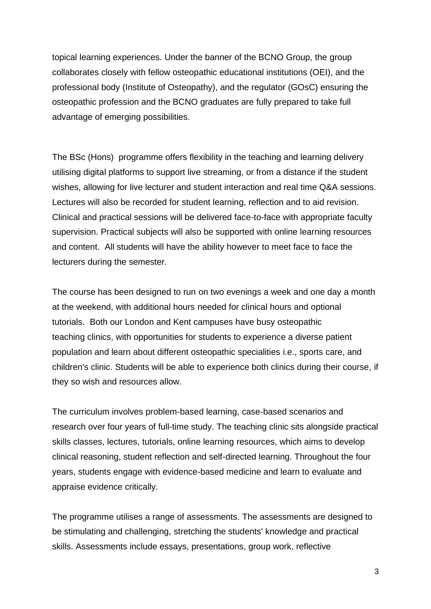topical learning experiences. Under the banner of the BCNO Group, the group collaborates closely with fellow osteopathic educational institutions (OEI), and the professional body (Institute of Osteopathy), and the regulator (GOsC) ensuring the osteopathic profession and the BCNO graduates are fully prepared to take full advantage of emerging possibilities.

The BSc (Hons) programme offers flexibility in the teaching and learning delivery utilising digital platforms to support live streaming, or from a distance if the student wishes, allowing for live lecturer and student interaction and real time Q&A sessions. Lectures will also be recorded for student learning, reflection and to aid revision. Clinical and practical sessions will be delivered face-to-face with appropriate faculty supervision. Practical subjects will also be supported with online learning resources and content. All students will have the ability however to meet face to face the lecturers during the semester.

The course has been designed to run on two evenings a week and one day a month at the weekend, with additional hours needed for clinical hours and optional tutorials. Both our London and Kent campuses have busy osteopathic teaching clinics, with opportunities for students to experience a diverse patient population and learn about different osteopathic specialities i.e., sports care, and children's clinic. Students will be able to experience both clinics during their course, if they so wish and resources allow.

The curriculum involves problem-based learning, case-based scenarios and research over four years of full-time study. The teaching clinic sits alongside practical skills classes, lectures, tutorials, online learning resources, which aims to develop clinical reasoning, student reflection and self-directed learning. Throughout the four years, students engage with evidence-based medicine and learn to evaluate and appraise evidence critically.

The programme utilises a range of assessments. The assessments are designed to be stimulating and challenging, stretching the students' knowledge and practical skills. Assessments include essays, presentations, group work, reflective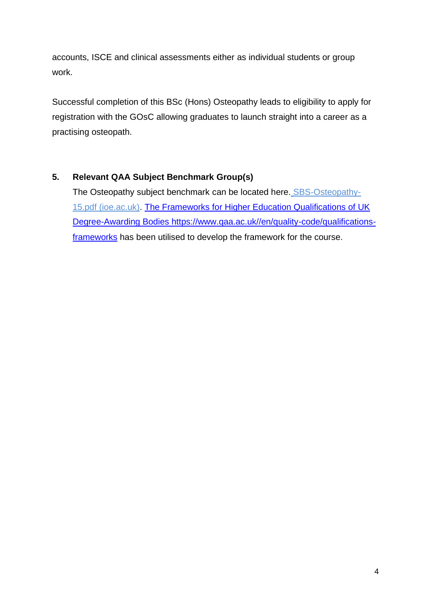accounts, ISCE and clinical assessments either as individual students or group work.

Successful completion of this BSc (Hons) Osteopathy leads to eligibility to apply for registration with the GOsC allowing graduates to launch straight into a career as a practising osteopath.

## **5. Relevant QAA Subject Benchmark Group(s)**

The Osteopathy subject benchmark can be located here. [SBS-Osteopathy-](https://dera.ioe.ac.uk/23775/1/SBS-Osteopathy-15.pdf#:~:text=This%20revised%20Subject%20Benchmark%20Statement%20in%20osteopathy%20aims,the%20statutory%20regulator%2C%20the%20General%20Osteopathic%20Council%20%28GOsC%29.)[15.pdf \(ioe.ac.uk\).](https://dera.ioe.ac.uk/23775/1/SBS-Osteopathy-15.pdf#:~:text=This%20revised%20Subject%20Benchmark%20Statement%20in%20osteopathy%20aims,the%20statutory%20regulator%2C%20the%20General%20Osteopathic%20Council%20%28GOsC%29.) [The Frameworks for Higher Education Qualifications of UK](https://www.qaa.ac.uk/docs/qaa/quality-code/qualifications-frameworks.pdf?sfvrsn=170af781_12)  [Degree-Awarding Bodies https://www.qaa.ac.uk//en/quality-code/qualifications](https://www.qaa.ac.uk/docs/qaa/quality-code/qualifications-frameworks.pdf?sfvrsn=170af781_12)[frameworks](https://www.qaa.ac.uk/docs/qaa/quality-code/qualifications-frameworks.pdf?sfvrsn=170af781_12) has been utilised to develop the framework for the course.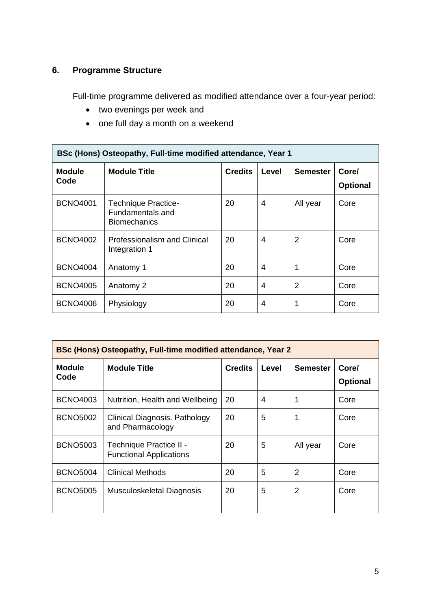## **6. Programme Structure**

Full-time programme delivered as modified attendance over a four-year period:

- two evenings per week and
- one full day a month on a weekend

| BSc (Hons) Osteopathy, Full-time modified attendance, Year 1 |                                                                              |                |       |                 |                          |
|--------------------------------------------------------------|------------------------------------------------------------------------------|----------------|-------|-----------------|--------------------------|
| <b>Module</b><br>Code                                        | <b>Module Title</b>                                                          | <b>Credits</b> | Level | <b>Semester</b> | Core/<br><b>Optional</b> |
| <b>BCNO4001</b>                                              | <b>Technique Practice-</b><br><b>Fundamentals and</b><br><b>Biomechanics</b> | 20             | 4     | All year        | Core                     |
| <b>BCNO4002</b>                                              | Professionalism and Clinical<br>Integration 1                                | 20             | 4     | 2               | Core                     |
| <b>BCNO4004</b>                                              | Anatomy 1                                                                    | 20             | 4     | 1               | Core                     |
| <b>BCNO4005</b>                                              | Anatomy 2                                                                    | 20             | 4     | 2               | Core                     |
| <b>BCNO4006</b>                                              | Physiology                                                                   | 20             | 4     | 1               | Core                     |

| <b>BSc (Hons) Osteopathy, Full-time modified attendance, Year 2</b> |                                                           |                |       |                 |                          |
|---------------------------------------------------------------------|-----------------------------------------------------------|----------------|-------|-----------------|--------------------------|
| <b>Module</b><br>Code                                               | <b>Module Title</b>                                       | <b>Credits</b> | Level | <b>Semester</b> | Core/<br><b>Optional</b> |
| <b>BCNO4003</b>                                                     | Nutrition, Health and Wellbeing                           | 20             | 4     |                 | Core                     |
| <b>BCNO5002</b>                                                     | Clinical Diagnosis. Pathology<br>and Pharmacology         | 20             | 5     |                 | Core                     |
| <b>BCNO5003</b>                                                     | Technique Practice II -<br><b>Functional Applications</b> | 20             | 5     | All year        | Core                     |
| <b>BCNO5004</b>                                                     | <b>Clinical Methods</b>                                   | 20             | 5     | 2               | Core                     |
| <b>BCNO5005</b>                                                     | Musculoskeletal Diagnosis                                 | 20             | 5     | $\overline{2}$  | Core                     |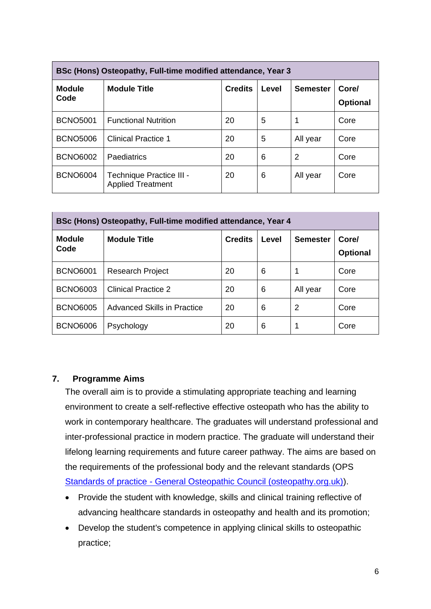| BSc (Hons) Osteopathy, Full-time modified attendance, Year 3 |                                                      |                |       |                 |                          |
|--------------------------------------------------------------|------------------------------------------------------|----------------|-------|-----------------|--------------------------|
| <b>Module</b><br>Code                                        | <b>Module Title</b>                                  | <b>Credits</b> | Level | <b>Semester</b> | Core/<br><b>Optional</b> |
| <b>BCNO5001</b>                                              | <b>Functional Nutrition</b>                          | 20             | 5     | 1               | Core                     |
| <b>BCNO5006</b>                                              | <b>Clinical Practice 1</b>                           | 20             | 5     | All year        | Core                     |
| <b>BCNO6002</b>                                              | <b>Paediatrics</b>                                   | 20             | 6     | 2               | Core                     |
| <b>BCNO6004</b>                                              | Technique Practice III -<br><b>Applied Treatment</b> | 20             | 6     | All year        | Core                     |

| BSc (Hons) Osteopathy, Full-time modified attendance, Year 4 |                             |                |       |                 |                          |
|--------------------------------------------------------------|-----------------------------|----------------|-------|-----------------|--------------------------|
| <b>Module</b><br>Code                                        | <b>Module Title</b>         | <b>Credits</b> | Level | <b>Semester</b> | Core/<br><b>Optional</b> |
| <b>BCNO6001</b>                                              | <b>Research Project</b>     | 20             | 6     |                 | Core                     |
| <b>BCNO6003</b>                                              | Clinical Practice 2         | 20             | 6     | All year        | Core                     |
| <b>BCNO6005</b>                                              | Advanced Skills in Practice | 20             | 6     | 2               | Core                     |
| <b>BCNO6006</b>                                              | Psychology                  | 20             | 6     | 1               | Core                     |

#### **7. Programme Aims**

The overall aim is to provide a stimulating appropriate teaching and learning environment to create a self-reflective effective osteopath who has the ability to work in contemporary healthcare. The graduates will understand professional and inter-professional practice in modern practice. The graduate will understand their lifelong learning requirements and future career pathway. The aims are based on the requirements of the professional body and the relevant standards (OPS Standards of practice - [General Osteopathic Council \(osteopathy.org.uk\)\)](https://www.osteopathy.org.uk/standards/osteopathic-practice/).

- Provide the student with knowledge, skills and clinical training reflective of advancing healthcare standards in osteopathy and health and its promotion;
- Develop the student's competence in applying clinical skills to osteopathic practice;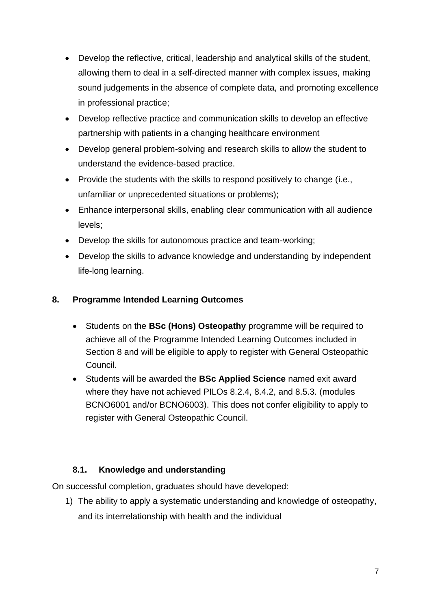- Develop the reflective, critical, leadership and analytical skills of the student, allowing them to deal in a self-directed manner with complex issues, making sound judgements in the absence of complete data, and promoting excellence in professional practice;
- Develop reflective practice and communication skills to develop an effective partnership with patients in a changing healthcare environment
- Develop general problem-solving and research skills to allow the student to understand the evidence-based practice.
- Provide the students with the skills to respond positively to change (i.e., unfamiliar or unprecedented situations or problems);
- Enhance interpersonal skills, enabling clear communication with all audience levels;
- Develop the skills for autonomous practice and team-working;
- Develop the skills to advance knowledge and understanding by independent life-long learning.

## **8. Programme Intended Learning Outcomes**

- Students on the **BSc (Hons) Osteopathy** programme will be required to achieve all of the Programme Intended Learning Outcomes included in Section 8 and will be eligible to apply to register with General Osteopathic Council.
- Students will be awarded the **BSc Applied Science** named exit award where they have not achieved PILOs 8.2.4, 8.4.2, and 8.5.3. (modules BCNO6001 and/or BCNO6003). This does not confer eligibility to apply to register with General Osteopathic Council.

#### **8.1. Knowledge and understanding**

On successful completion, graduates should have developed:

1) The ability to apply a systematic understanding and knowledge of osteopathy, and its interrelationship with health and the individual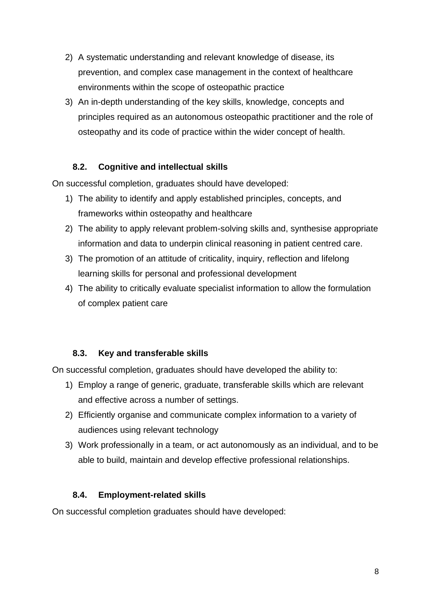- 2) A systematic understanding and relevant knowledge of disease, its prevention, and complex case management in the context of healthcare environments within the scope of osteopathic practice
- 3) An in-depth understanding of the key skills, knowledge, concepts and principles required as an autonomous osteopathic practitioner and the role of osteopathy and its code of practice within the wider concept of health.

## **8.2. Cognitive and intellectual skills**

On successful completion, graduates should have developed:

- 1) The ability to identify and apply established principles, concepts, and frameworks within osteopathy and healthcare
- 2) The ability to apply relevant problem-solving skills and, synthesise appropriate information and data to underpin clinical reasoning in patient centred care.
- 3) The promotion of an attitude of criticality, inquiry, reflection and lifelong learning skills for personal and professional development
- 4) The ability to critically evaluate specialist information to allow the formulation of complex patient care

#### **8.3. Key and transferable skills**

On successful completion, graduates should have developed the ability to:

- 1) Employ a range of generic, graduate, transferable skills which are relevant and effective across a number of settings.
- 2) Efficiently organise and communicate complex information to a variety of audiences using relevant technology
- 3) Work professionally in a team, or act autonomously as an individual, and to be able to build, maintain and develop effective professional relationships.

#### **8.4. Employment-related skills**

On successful completion graduates should have developed: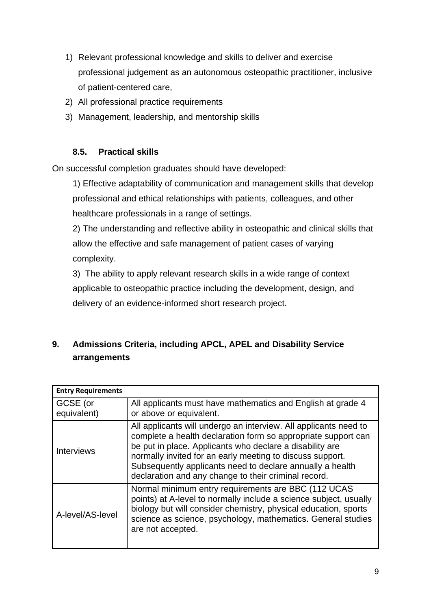- 1) Relevant professional knowledge and skills to deliver and exercise professional judgement as an autonomous osteopathic practitioner, inclusive of patient-centered care,
- 2) All professional practice requirements
- 3) Management, leadership, and mentorship skills

## **8.5. Practical skills**

On successful completion graduates should have developed:

1) Effective adaptability of communication and management skills that develop professional and ethical relationships with patients, colleagues, and other healthcare professionals in a range of settings.

2) The understanding and reflective ability in osteopathic and clinical skills that allow the effective and safe management of patient cases of varying complexity.

3) The ability to apply relevant research skills in a wide range of context applicable to osteopathic practice including the development, design, and delivery of an evidence-informed short research project.

## **9. Admissions Criteria, including APCL, APEL and Disability Service arrangements**

| <b>Entry Requirements</b> |                                                                                                                                                                                                                                                                                                                                                                                 |
|---------------------------|---------------------------------------------------------------------------------------------------------------------------------------------------------------------------------------------------------------------------------------------------------------------------------------------------------------------------------------------------------------------------------|
| GCSE (or<br>equivalent)   | All applicants must have mathematics and English at grade 4<br>or above or equivalent.                                                                                                                                                                                                                                                                                          |
| <b>Interviews</b>         | All applicants will undergo an interview. All applicants need to<br>complete a health declaration form so appropriate support can<br>be put in place. Applicants who declare a disability are<br>normally invited for an early meeting to discuss support.<br>Subsequently applicants need to declare annually a health<br>declaration and any change to their criminal record. |
| A-level/AS-level          | Normal minimum entry requirements are BBC (112 UCAS<br>points) at A-level to normally include a science subject, usually<br>biology but will consider chemistry, physical education, sports<br>science as science, psychology, mathematics. General studies<br>are not accepted.                                                                                                |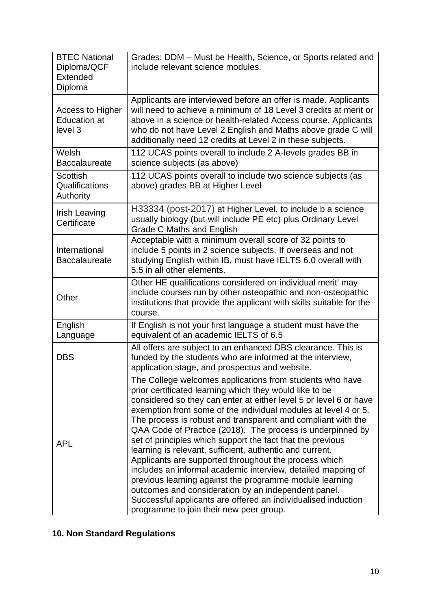| <b>BTEC National</b><br>Diploma/QCF<br>Extended<br>Diploma | Grades: DDM – Must be Health, Science, or Sports related and<br>include relevant science modules.                                                                                                                                                                                                                                                                                                                                                                                                                                                                                                                                                                                                                                                                                                                                                                         |
|------------------------------------------------------------|---------------------------------------------------------------------------------------------------------------------------------------------------------------------------------------------------------------------------------------------------------------------------------------------------------------------------------------------------------------------------------------------------------------------------------------------------------------------------------------------------------------------------------------------------------------------------------------------------------------------------------------------------------------------------------------------------------------------------------------------------------------------------------------------------------------------------------------------------------------------------|
| Access to Higher<br><b>Education at</b><br>level 3         | Applicants are interviewed before an offer is made. Applicants<br>will need to achieve a minimum of 18 Level 3 credits at merit or<br>above in a science or health-related Access course. Applicants<br>who do not have Level 2 English and Maths above grade C will<br>additionally need 12 credits at Level 2 in these subjects.                                                                                                                                                                                                                                                                                                                                                                                                                                                                                                                                        |
| Welsh<br><b>Baccalaureate</b>                              | 112 UCAS points overall to include 2 A-levels grades BB in<br>science subjects (as above)                                                                                                                                                                                                                                                                                                                                                                                                                                                                                                                                                                                                                                                                                                                                                                                 |
| <b>Scottish</b><br>Qualifications<br>Authority             | 112 UCAS points overall to include two science subjects (as<br>above) grades BB at Higher Level                                                                                                                                                                                                                                                                                                                                                                                                                                                                                                                                                                                                                                                                                                                                                                           |
| Irish Leaving<br>Certificate                               | H33334 (post-2017) at Higher Level, to include b a science<br>usually biology (but will include PE etc) plus Ordinary Level<br>Grade C Maths and English                                                                                                                                                                                                                                                                                                                                                                                                                                                                                                                                                                                                                                                                                                                  |
| International<br><b>Baccalaureate</b>                      | Acceptable with a minimum overall score of 32 points to<br>include 5 points in 2 science subjects. If overseas and not<br>studying English within IB, must have IELTS 6.0 overall with<br>5.5 in all other elements.                                                                                                                                                                                                                                                                                                                                                                                                                                                                                                                                                                                                                                                      |
| Other                                                      | Other HE qualifications considered on individual merit' may<br>include courses run by other osteopathic and non-osteopathic<br>institutions that provide the applicant with skills suitable for the<br>course.                                                                                                                                                                                                                                                                                                                                                                                                                                                                                                                                                                                                                                                            |
| English<br>Language                                        | If English is not your first language a student must have the<br>equivalent of an academic IELTS of 6.5                                                                                                                                                                                                                                                                                                                                                                                                                                                                                                                                                                                                                                                                                                                                                                   |
| <b>DBS</b>                                                 | All offers are subject to an enhanced DBS clearance. This is<br>funded by the students who are informed at the interview,<br>application stage, and prospectus and website.                                                                                                                                                                                                                                                                                                                                                                                                                                                                                                                                                                                                                                                                                               |
| <b>APL</b>                                                 | The College welcomes applications from students who have<br>prior certificated learning which they would like to be<br>considered so they can enter at either level 5 or level 6 or have<br>exemption from some of the individual modules at level 4 or 5.<br>The process is robust and transparent and compliant with the<br>QAA Code of Practice (2018). The process is underpinned by<br>set of principles which support the fact that the previous<br>learning is relevant, sufficient, authentic and current.<br>Applicants are supported throughout the process which<br>includes an informal academic interview, detailed mapping of<br>previous learning against the programme module learning<br>outcomes and consideration by an independent panel.<br>Successful applicants are offered an individualised induction<br>programme to join their new peer group. |

## **10. Non Standard Regulations**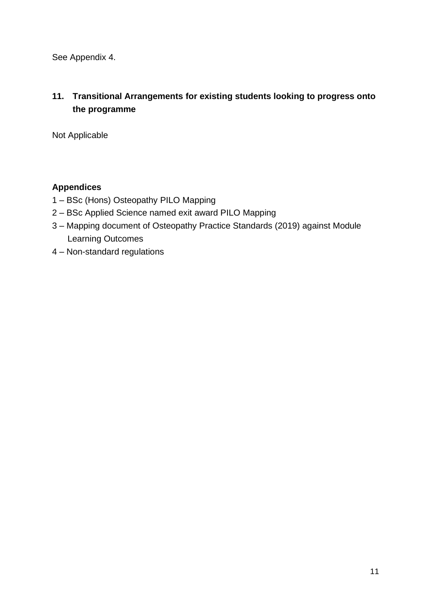See Appendix 4.

## **11. Transitional Arrangements for existing students looking to progress onto the programme**

Not Applicable

## **Appendices**

- 1 BSc (Hons) Osteopathy PILO Mapping
- 2 BSc Applied Science named exit award PILO Mapping
- 3 Mapping document of Osteopathy Practice Standards (2019) against Module Learning Outcomes
- 4 Non-standard regulations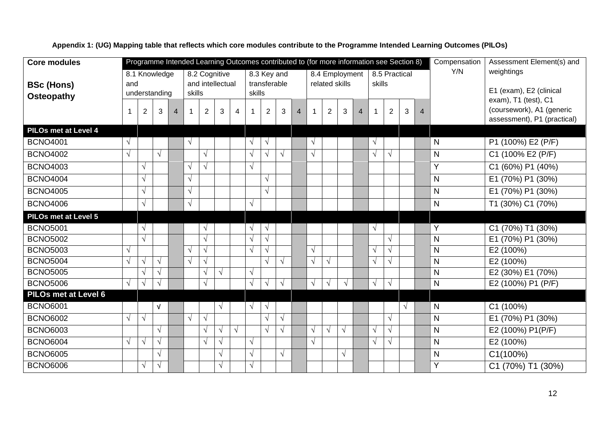**Core modules BSc (Hons) Osteopathy**  Programme Intended Learning Outcomes contributed to (for more information see Section 8) Compensation Y/N Assessment Element(s) and weightings E1 (exam), E2 (clinical exam), T1 (test), C1 (coursework), A1 (generic assessment), P1 (practical) 8.1 Knowledge and understanding 8.2 Cognitive and intellectual skills 8.3 Key and transferable skills 8.4 Employment related skills 8.5 Practical skills 1 | 2 | 3 | 4 | 1 | 2 | 3 | 4 | 1 | 2 | 3 | 4 | 1 | 2 | 3 | 4 | 1 | 2 | 3 | 4 **PILOs met at Level 4** BCNO4001  $|\sqrt{|\cdot|}$   $|\sqrt{|\cdot|}$   $|\sqrt{|\cdot|}$   $|\sqrt{|\cdot|}$   $|\sqrt{|\cdot|}$   $|\sqrt{|\cdot|}$   $|\sqrt{|\cdot|}$   $|\sqrt{|\cdot|}$   $|\sqrt{|\cdot|}$   $|\sqrt{|\cdot|}$   $|\sqrt{|\cdot|}$   $|\sqrt{|\cdot|}$   $|\sqrt{|\cdot|}$   $|\sqrt{|\cdot|}$   $|\sqrt{|\cdot|}$   $|\sqrt{|\cdot|}$   $|\sqrt{|\cdot|}$   $|\sqrt{|\cdot|}$   $|\sqrt{|\cdot|}$   $|\sqrt{|\cdot|}$   $|\sqrt{|\cdot|}$   $|\$ BCNO4002 √ √ √ √ √ √ √ √ √ N C1 (100% E2 (P/F) BCNO4003 √ √ √ √ Y C1 (60%) P1 (40%) BCNO4004 √ √ √ N E1 (70%) P1 (30%) BCNO4005 √ √ √ N E1 (70%) P1 (30%) BCNO4006 √ √ √ N T1 (30%) C1 (70%) **PILOs met at Level 5** BCNO5001 √ √ √ √ √ Y C1 (70%) T1 (30%) BCNO5002 √ √ √ √ √ N E1 (70%) P1 (30%) BCNO5003 √ √ √ √ √ √ √ √ N E2 (100%) BCNO5004 √ √ √ √ √ √ √ √ √ √ √ N E2 (100%) BCNO5005 √ √ √ √ √ N E2 (30%) E1 (70%) BCNO5006 √ √ √ √ √ √ √ √ √ √ √ √ N E2 (100%) P1 (P/F) **PILOs met at Level 6** BCNO6001 √ √ √ √ √ N C1 (100%) BCNO6002 √ √ √ √ √ √ √ N E1 (70%) P1 (30%) BCNO6003 √ √ √ √ √ √ √ √ √ √ √ N E2 (100%) P1(P/F) BCNO6004 √ √ √ √ √ √ √ √ √ N E2 (100%) BCNO6005 √ √ √ √ √ N C1(100%) BCNO6006 √ √ √ √ Y C1 (70%) T1 (30%)

**Appendix 1: (UG) Mapping table that reflects which core modules contribute to the Programme Intended Learning Outcomes (PILOs)**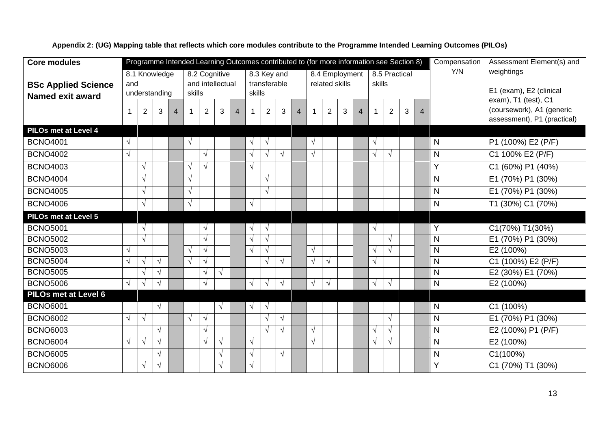**Core modules BSc Applied Science Named exit award** Programme Intended Learning Outcomes contributed to (for more information see Section 8) Compensation Y/N Assessment Element(s) and weightings E1 (exam), E2 (clinical exam), T1 (test), C1 (coursework), A1 (generic assessment), P1 (practical) 8.1 Knowledge and understanding 8.2 Cognitive and intellectual skills 8.3 Key and transferable skills 8.4 Employment related skills 8.5 Practical skills 1 | 2 | 3 | 4 | 1 | 2 | 3 | 4 | 1 | 2 | 3 | 4 | 1 | 2 | 3 | 4 | 1 | 2 | 3 | 4 **PILOs met at Level 4** BCNO4001  $|\sqrt{|\cdot|}$   $|\sqrt{|\cdot|}$   $|\sqrt{|\cdot|}$   $|\sqrt{|\cdot|}$   $|\sqrt{|\cdot|}$   $|\sqrt{|\cdot|}$   $|\sqrt{|\cdot|}$   $|\sqrt{|\cdot|}$   $|\sqrt{|\cdot|}$   $|\sqrt{|\cdot|}$   $|\sqrt{|\cdot|}$   $|\sqrt{|\cdot|}$   $|\sqrt{|\cdot|}$   $|\sqrt{|\cdot|}$   $|\sqrt{|\cdot|}$   $|\sqrt{|\cdot|}$   $|\sqrt{|\cdot|}$   $|\sqrt{|\cdot|}$   $|\sqrt{|\cdot|}$   $|\sqrt{|\cdot|}$   $|\sqrt{|\cdot|}$   $|\$ BCNO4002 √ √ √ √ √ √ √ √ N C1 100% E2 (P/F) BCNO4003 √ √ √ √ Y C1 (60%) P1 (40%) BCNO4004 √ √ √ N E1 (70%) P1 (30%) BCNO4005 √ √ √ N E1 (70%) P1 (30%) BCNO4006 √ √ √ N T1 (30%) C1 (70%) **PILOs met at Level 5** BCNO5001 √ √ √ √ √ Y C1(70%) T1(30%) BCNO5002 √ √ √ √ √ N E1 (70%) P1 (30%) BCNO5003 √ √ √ √ √ √ √ √ N E2 (100%) BCNO5004  $\sqrt{\sqrt{x}}$   $\sqrt{x}$   $\sqrt{x}$   $\sqrt{x}$   $\sqrt{x}$   $\sqrt{x}$   $\sqrt{x}$   $\sqrt{x}$   $\sqrt{x}$   $\sqrt{x}$   $\sqrt{x}$   $\sqrt{x}$   $\sqrt{x}$   $\sqrt{x}$   $\sqrt{x}$   $\sqrt{x}$   $\sqrt{x}$   $\sqrt{x}$   $\sqrt{x}$   $\sqrt{x}$   $\sqrt{x}$   $\sqrt{x}$   $\sqrt{x}$   $\sqrt{x}$   $\sqrt{x}$   $\sqrt{x}$   $\sqrt{x}$   $\sqrt{x}$   $\sqrt{x}$   $\sqrt{x}$  BCNO5005  $\vert \sqrt{\vert \sqrt{\vert \ } \vert} \sqrt{\vert \sqrt{\vert \ } \vert} \sqrt{\vert \sqrt{\vert \ } \vert} \sqrt{\vert \vert \ }$   $\vert \vert \vert \vert \sqrt{\vert \ } \sqrt{\vert \ } \sqrt{\vert \ }$   $\vert \vert \sqrt{\vert \ } \sqrt{\vert \ } \sqrt{\vert \ } \sqrt{\vert \ }$   $\vert \vert \sqrt{\vert \ } \sqrt{\vert \ } \sqrt{\vert \ } \sqrt{\vert \ }$   $\vert \sqrt{\vert \ } \sqrt{\vert \ } \sqrt{\vert \ } \sqrt{\vert \ } \sqrt{\vert \ } \sqrt{\vert \ } \sqrt{\vert \ } \sqrt{\vert \ } \sqrt{\vert \ } \sqrt{\vert \ } \sqrt{\vert \ }$ BCNO5006 √ √ √ √ √ √ √ √ √ √ √ N E2 (100%) **PILOs met at Level 6** BCNO6001 √ √ √ √ N C1 (100%) BCNO6002 √ √ √ √ √ √ √ N E1 (70%) P1 (30%) BCNO6003 √ √ √ √ √ √ √ N E2 (100%) P1 (P/F) BCNO6004 √ √ √ √ √ √ √ √ √ N E2 (100%) BCNO6005 √ √ √ √ N C1(100%) BCNO6006 √ √ √ √ Y C1 (70%) T1 (30%)

**Appendix 2: (UG) Mapping table that reflects which core modules contribute to the Programme Intended Learning Outcomes (PILOs)**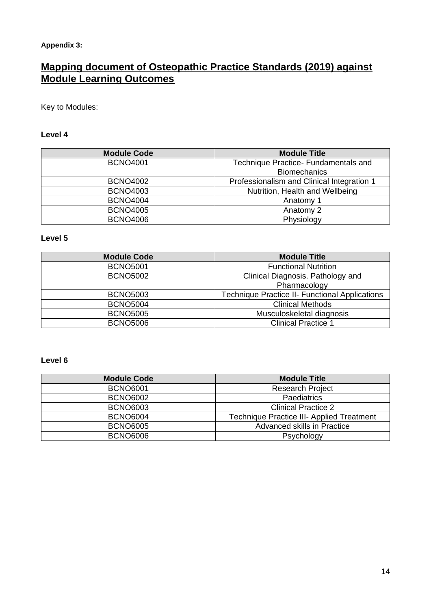#### **Appendix 3:**

## **Mapping document of Osteopathic Practice Standards (2019) against Module Learning Outcomes**

Key to Modules:

#### **Level 4**

| <b>Module Code</b> | <b>Module Title</b>                        |  |
|--------------------|--------------------------------------------|--|
| <b>BCNO4001</b>    | Technique Practice- Fundamentals and       |  |
|                    | <b>Biomechanics</b>                        |  |
| <b>BCNO4002</b>    | Professionalism and Clinical Integration 1 |  |
| <b>BCNO4003</b>    | Nutrition, Health and Wellbeing            |  |
| <b>BCNO4004</b>    | Anatomy 1                                  |  |
| <b>BCNO4005</b>    | Anatomy 2                                  |  |
| <b>BCNO4006</b>    | Physiology                                 |  |

## **Level 5**

| <b>Module Code</b> | <b>Module Title</b>                                   |
|--------------------|-------------------------------------------------------|
| <b>BCNO5001</b>    | <b>Functional Nutrition</b>                           |
| <b>BCNO5002</b>    | Clinical Diagnosis. Pathology and<br>Pharmacology     |
| <b>BCNO5003</b>    | <b>Technique Practice II- Functional Applications</b> |
| <b>BCNO5004</b>    | <b>Clinical Methods</b>                               |
| <b>BCNO5005</b>    | Musculoskeletal diagnosis                             |
| <b>BCNO5006</b>    | <b>Clinical Practice 1</b>                            |

#### **Level 6**

| <b>Module Code</b> | <b>Module Title</b>                              |
|--------------------|--------------------------------------------------|
| <b>BCNO6001</b>    | <b>Research Project</b>                          |
| <b>BCNO6002</b>    | Paediatrics                                      |
| <b>BCNO6003</b>    | <b>Clinical Practice 2</b>                       |
| <b>BCNO6004</b>    | <b>Technique Practice III- Applied Treatment</b> |
| <b>BCNO6005</b>    | Advanced skills in Practice                      |
| <b>BCNO6006</b>    | Psychology                                       |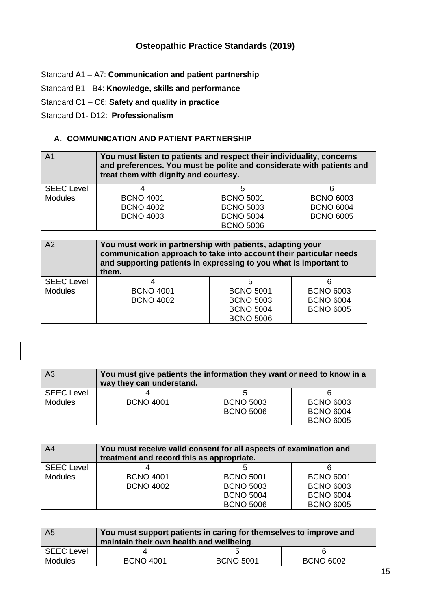## **Osteopathic Practice Standards (2019)**

Standard A1 – A7: **Communication and patient partnership**

Standard B1 - B4: **Knowledge, skills and performance**

Standard C1 – C6: **Safety and quality in practice**

Standard D1- D12: **Professionalism**

#### **A. COMMUNICATION AND PATIENT PARTNERSHIP**

| A <sub>1</sub>    | You must listen to patients and respect their individuality, concerns<br>and preferences. You must be polite and considerate with patients and<br>treat them with dignity and courtesy. |                  |                  |  |
|-------------------|-----------------------------------------------------------------------------------------------------------------------------------------------------------------------------------------|------------------|------------------|--|
| <b>SEEC Level</b> |                                                                                                                                                                                         |                  |                  |  |
| <b>Modules</b>    | <b>BCNO 4001</b>                                                                                                                                                                        | <b>BCNO 5001</b> | <b>BCNO 6003</b> |  |
|                   | <b>BCNO 4002</b>                                                                                                                                                                        | <b>BCNO 5003</b> | <b>BCNO 6004</b> |  |
|                   | <b>BCNO 4003</b>                                                                                                                                                                        | <b>BCNO 5004</b> | <b>BCNO 6005</b> |  |
|                   |                                                                                                                                                                                         | <b>BCNO 5006</b> |                  |  |

| A2                | You must work in partnership with patients, adapting your<br>communication approach to take into account their particular needs<br>and supporting patients in expressing to you what is important to<br>them. |                  |                  |
|-------------------|---------------------------------------------------------------------------------------------------------------------------------------------------------------------------------------------------------------|------------------|------------------|
| <b>SEEC Level</b> |                                                                                                                                                                                                               |                  |                  |
| <b>Modules</b>    | <b>BCNO 4001</b>                                                                                                                                                                                              | <b>BCNO 5001</b> | <b>BCNO 6003</b> |
|                   | <b>BCNO 4002</b>                                                                                                                                                                                              | <b>BCNO 5003</b> | <b>BCNO 6004</b> |
|                   |                                                                                                                                                                                                               | <b>BCNO 5004</b> | <b>BCNO 6005</b> |
|                   |                                                                                                                                                                                                               | <b>BCNO 5006</b> |                  |

| A <sub>3</sub>    | You must give patients the information they want or need to know in a<br>way they can understand. |                  |                  |
|-------------------|---------------------------------------------------------------------------------------------------|------------------|------------------|
| <b>SEEC Level</b> |                                                                                                   |                  |                  |
| <b>Modules</b>    | <b>BCNO 4001</b>                                                                                  | <b>BCNO 5003</b> | <b>BCNO 6003</b> |
|                   |                                                                                                   | <b>BCNO 5006</b> | <b>BCNO 6004</b> |
|                   |                                                                                                   |                  | <b>BCNO 6005</b> |

| A <sub>4</sub>    | You must receive valid consent for all aspects of examination and<br>treatment and record this as appropriate. |                  |                  |
|-------------------|----------------------------------------------------------------------------------------------------------------|------------------|------------------|
| <b>SEEC Level</b> |                                                                                                                |                  |                  |
| <b>Modules</b>    | <b>BCNO 4001</b>                                                                                               | <b>BCNO 5001</b> | <b>BCNO 6001</b> |
|                   | <b>BCNO 4002</b>                                                                                               | <b>BCNO 5003</b> | <b>BCNO 6003</b> |
|                   |                                                                                                                | <b>BCNO 5004</b> | <b>BCNO 6004</b> |
|                   |                                                                                                                | <b>BCNO 5006</b> | <b>BCNO 6005</b> |

| A <sub>5</sub>    | You must support patients in caring for themselves to improve and<br>maintain their own health and wellbeing. |                  |                  |
|-------------------|---------------------------------------------------------------------------------------------------------------|------------------|------------------|
| <b>SEEC Level</b> |                                                                                                               |                  |                  |
| <b>Modules</b>    | <b>BCNO 4001</b>                                                                                              | <b>BCNO 5001</b> | <b>BCNO 6002</b> |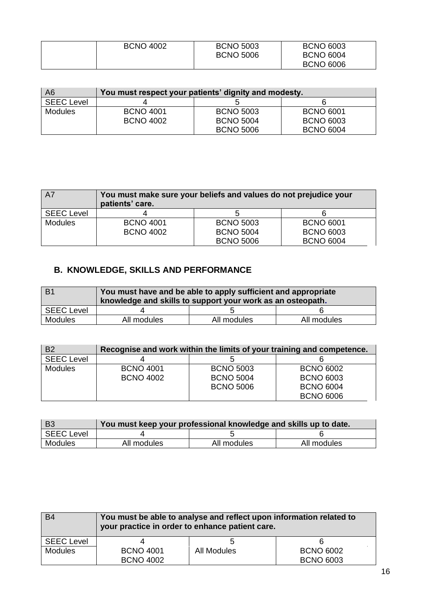| <b>BCNO 4002</b> | <b>BCNO 5003</b> | <b>BCNO 6003</b> |
|------------------|------------------|------------------|
|                  | <b>BCNO 5006</b> | <b>BCNO 6004</b> |
|                  |                  | <b>BCNO 6006</b> |

| A <sub>6</sub>    | You must respect your patients' dignity and modesty. |                  |                  |
|-------------------|------------------------------------------------------|------------------|------------------|
| <b>SEEC Level</b> |                                                      |                  |                  |
| Modules           | <b>BCNO 4001</b>                                     | <b>BCNO 5003</b> | <b>BCNO 6001</b> |
|                   | <b>BCNO 4002</b>                                     | <b>BCNO 5004</b> | <b>BCNO 6003</b> |
|                   |                                                      | <b>BCNO 5006</b> | <b>BCNO 6004</b> |

| <b>A7</b>         | You must make sure your beliefs and values do not prejudice your<br>patients' care. |                                      |                                      |
|-------------------|-------------------------------------------------------------------------------------|--------------------------------------|--------------------------------------|
| <b>SEEC Level</b> |                                                                                     |                                      |                                      |
| <b>Modules</b>    | <b>BCNO 4001</b><br><b>BCNO 4002</b>                                                | <b>BCNO 5003</b><br><b>BCNO 5004</b> | <b>BCNO 6001</b><br><b>BCNO 6003</b> |
|                   |                                                                                     | <b>BCNO 5006</b>                     | <b>BCNO 6004</b>                     |

## **B. KNOWLEDGE, SKILLS AND PERFORMANCE**

| . B1              | You must have and be able to apply sufficient and appropriate<br>knowledge and skills to support your work as an osteopath. |             |             |
|-------------------|-----------------------------------------------------------------------------------------------------------------------------|-------------|-------------|
| <b>SEEC Level</b> |                                                                                                                             |             |             |
| <b>Modules</b>    | All modules                                                                                                                 | All modules | All modules |

| B <sub>2</sub>    | Recognise and work within the limits of your training and competence. |                  |                  |
|-------------------|-----------------------------------------------------------------------|------------------|------------------|
| <b>SEEC Level</b> |                                                                       |                  |                  |
| <b>Modules</b>    | <b>BCNO 4001</b>                                                      | <b>BCNO 5003</b> | <b>BCNO 6002</b> |
|                   | <b>BCNO 4002</b>                                                      | <b>BCNO 5004</b> | <b>BCNO 6003</b> |
|                   |                                                                       | <b>BCNO 5006</b> | <b>BCNO 6004</b> |
|                   |                                                                       |                  | <b>BCNO 6006</b> |

| <b>B3</b>         | You must keep your professional knowledge and skills up to date. |             |             |
|-------------------|------------------------------------------------------------------|-------------|-------------|
| <b>SEEC Level</b> |                                                                  |             |             |
| Modules           | All modules                                                      | All modules | All modules |

| B <sub>4</sub>    | You must be able to analyse and reflect upon information related to<br>your practice in order to enhance patient care. |             |                  |
|-------------------|------------------------------------------------------------------------------------------------------------------------|-------------|------------------|
| <b>SEEC Level</b> |                                                                                                                        |             |                  |
| <b>Modules</b>    | <b>BCNO 4001</b>                                                                                                       | All Modules | <b>BCNO 6002</b> |
|                   | <b>BCNO 4002</b>                                                                                                       |             | <b>BCNO 6003</b> |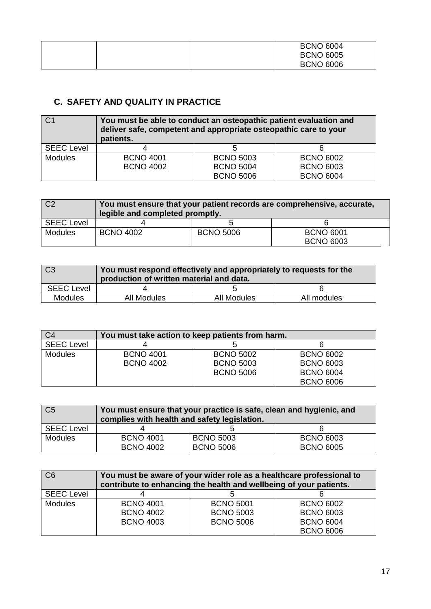|  | <b>BCNO 6004</b> |
|--|------------------|
|  | <b>BCNO 6005</b> |
|  | <b>BCNO 6006</b> |

## **C. SAFETY AND QUALITY IN PRACTICE**

| C <sub>1</sub>    | You must be able to conduct an osteopathic patient evaluation and<br>deliver safe, competent and appropriate osteopathic care to your<br>patients. |                  |                  |
|-------------------|----------------------------------------------------------------------------------------------------------------------------------------------------|------------------|------------------|
| <b>SEEC Level</b> |                                                                                                                                                    |                  |                  |
| <b>Modules</b>    | <b>BCNO 4001</b>                                                                                                                                   | <b>BCNO 5003</b> | <b>BCNO 6002</b> |
|                   | <b>BCNO 4002</b>                                                                                                                                   | <b>BCNO 5004</b> | <b>BCNO 6003</b> |
|                   |                                                                                                                                                    | <b>BCNO 5006</b> | <b>BCNO 6004</b> |

| C <sub>2</sub>    | You must ensure that your patient records are comprehensive, accurate,<br>legible and completed promptly. |                  |                  |
|-------------------|-----------------------------------------------------------------------------------------------------------|------------------|------------------|
| <b>SEEC Level</b> |                                                                                                           |                  |                  |
| <b>Modules</b>    | <b>BCNO 4002</b>                                                                                          | <b>BCNO 5006</b> | <b>BCNO 6001</b> |
|                   |                                                                                                           |                  | <b>BCNO 6003</b> |

| $\overline{C}$ 3  | You must respond effectively and appropriately to requests for the<br>production of written material and data. |             |             |
|-------------------|----------------------------------------------------------------------------------------------------------------|-------------|-------------|
| <b>SEEC Level</b> |                                                                                                                |             |             |
| <b>Modules</b>    | All Modules                                                                                                    | All Modules | All modules |

| C <sub>4</sub>    | You must take action to keep patients from harm. |                  |                  |  |
|-------------------|--------------------------------------------------|------------------|------------------|--|
| <b>SEEC Level</b> |                                                  |                  |                  |  |
| <b>Modules</b>    | <b>BCNO 4001</b>                                 | <b>BCNO 5002</b> | <b>BCNO 6002</b> |  |
|                   | <b>BCNO 4002</b>                                 | <b>BCNO 5003</b> | <b>BCNO 6003</b> |  |
|                   |                                                  | <b>BCNO 5006</b> | <b>BCNO 6004</b> |  |
|                   |                                                  |                  | <b>BCNO 6006</b> |  |

| C <sub>5</sub>    | You must ensure that your practice is safe, clean and hygienic, and<br>complies with health and safety legislation. |                  |                  |
|-------------------|---------------------------------------------------------------------------------------------------------------------|------------------|------------------|
| <b>SEEC Level</b> |                                                                                                                     |                  |                  |
| <b>Modules</b>    | <b>BCNO 4001</b>                                                                                                    | <b>BCNO 5003</b> | <b>BCNO 6003</b> |
|                   | <b>BCNO 4002</b>                                                                                                    | <b>BCNO 5006</b> | <b>BCNO 6005</b> |

| C6                | You must be aware of your wider role as a healthcare professional to<br>contribute to enhancing the health and wellbeing of your patients. |                  |                  |  |
|-------------------|--------------------------------------------------------------------------------------------------------------------------------------------|------------------|------------------|--|
| <b>SEEC Level</b> |                                                                                                                                            |                  |                  |  |
| <b>Modules</b>    | <b>BCNO 4001</b>                                                                                                                           | <b>BCNO 5001</b> | <b>BCNO 6002</b> |  |
|                   | <b>BCNO 4002</b>                                                                                                                           | <b>BCNO 5003</b> | <b>BCNO 6003</b> |  |
|                   | <b>BCNO 4003</b>                                                                                                                           | <b>BCNO 5006</b> | <b>BCNO 6004</b> |  |
|                   |                                                                                                                                            |                  | <b>BCNO 6006</b> |  |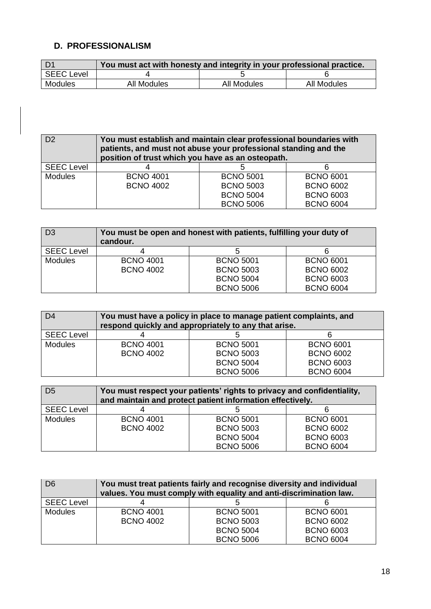## **D. PROFESSIONALISM**

|                   | You must act with honesty and integrity in your professional practice. |             |             |
|-------------------|------------------------------------------------------------------------|-------------|-------------|
| <b>SEEC Level</b> |                                                                        |             |             |
| Modules           | All Modules                                                            | All Modules | All Modules |

| D <sub>2</sub>    | You must establish and maintain clear professional boundaries with<br>patients, and must not abuse your professional standing and the<br>position of trust which you have as an osteopath. |                  |                  |
|-------------------|--------------------------------------------------------------------------------------------------------------------------------------------------------------------------------------------|------------------|------------------|
| <b>SEEC Level</b> |                                                                                                                                                                                            |                  |                  |
| <b>Modules</b>    | <b>BCNO 4001</b>                                                                                                                                                                           | <b>BCNO 5001</b> | <b>BCNO 6001</b> |
|                   | <b>BCNO 4002</b>                                                                                                                                                                           | <b>BCNO 5003</b> | <b>BCNO 6002</b> |
|                   |                                                                                                                                                                                            | <b>BCNO 5004</b> | <b>BCNO 6003</b> |
|                   |                                                                                                                                                                                            | <b>BCNO 5006</b> | <b>BCNO 6004</b> |

| D <sub>3</sub>    | You must be open and honest with patients, fulfilling your duty of<br>candour. |                  |                  |
|-------------------|--------------------------------------------------------------------------------|------------------|------------------|
| <b>SEEC Level</b> |                                                                                |                  |                  |
| <b>Modules</b>    | <b>BCNO 4001</b>                                                               | <b>BCNO 5001</b> | <b>BCNO 6001</b> |
|                   | <b>BCNO 4002</b>                                                               | <b>BCNO 5003</b> | <b>BCNO 6002</b> |
|                   |                                                                                | <b>BCNO 5004</b> | <b>BCNO 6003</b> |
|                   |                                                                                | <b>BCNO 5006</b> | <b>BCNO 6004</b> |

| D <sub>4</sub>    | You must have a policy in place to manage patient complaints, and<br>respond quickly and appropriately to any that arise. |                  |                  |
|-------------------|---------------------------------------------------------------------------------------------------------------------------|------------------|------------------|
| <b>SEEC Level</b> |                                                                                                                           |                  |                  |
| <b>Modules</b>    | <b>BCNO 4001</b>                                                                                                          | <b>BCNO 5001</b> | <b>BCNO 6001</b> |
|                   | <b>BCNO 4002</b>                                                                                                          | <b>BCNO 5003</b> | <b>BCNO 6002</b> |
|                   |                                                                                                                           | <b>BCNO 5004</b> | <b>BCNO 6003</b> |
|                   |                                                                                                                           | <b>BCNO 5006</b> | <b>BCNO 6004</b> |

| D <sub>5</sub>    | You must respect your patients' rights to privacy and confidentiality,<br>and maintain and protect patient information effectively. |                  |                  |
|-------------------|-------------------------------------------------------------------------------------------------------------------------------------|------------------|------------------|
| <b>SEEC Level</b> |                                                                                                                                     |                  |                  |
| <b>Modules</b>    | <b>BCNO 4001</b>                                                                                                                    | <b>BCNO 5001</b> | <b>BCNO 6001</b> |
|                   | <b>BCNO 4002</b>                                                                                                                    | <b>BCNO 5003</b> | <b>BCNO 6002</b> |
|                   |                                                                                                                                     | <b>BCNO 5004</b> | <b>BCNO 6003</b> |
|                   |                                                                                                                                     | <b>BCNO 5006</b> | <b>BCNO 6004</b> |

| D <sub>6</sub>    | You must treat patients fairly and recognise diversity and individual<br>values. You must comply with equality and anti-discrimination law. |                  |                  |
|-------------------|---------------------------------------------------------------------------------------------------------------------------------------------|------------------|------------------|
| <b>SEEC Level</b> |                                                                                                                                             |                  |                  |
| <b>Modules</b>    | <b>BCNO 4001</b>                                                                                                                            | <b>BCNO 5001</b> | <b>BCNO 6001</b> |
|                   | <b>BCNO 4002</b>                                                                                                                            | <b>BCNO 5003</b> | <b>BCNO 6002</b> |
|                   |                                                                                                                                             | <b>BCNO 5004</b> | <b>BCNO 6003</b> |
|                   |                                                                                                                                             | <b>BCNO 5006</b> | <b>BCNO 6004</b> |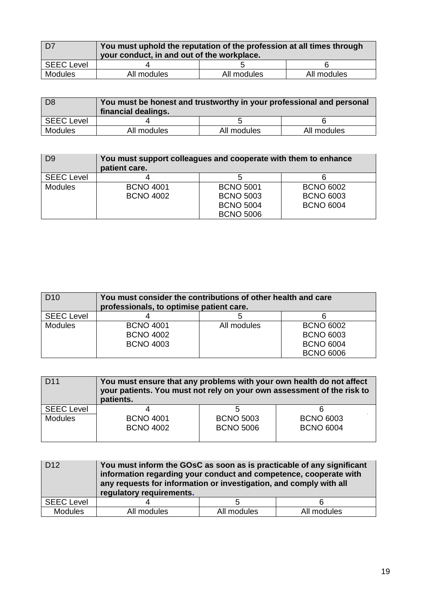| $\overline{D7}$   | You must uphold the reputation of the profession at all times through<br>your conduct, in and out of the workplace. |             |             |
|-------------------|---------------------------------------------------------------------------------------------------------------------|-------------|-------------|
| <b>SEEC Level</b> |                                                                                                                     |             |             |
| Modules           | All modules                                                                                                         | All modules | All modules |

| D <sub>8</sub>    | You must be honest and trustworthy in your professional and personal<br>financial dealings. |             |             |
|-------------------|---------------------------------------------------------------------------------------------|-------------|-------------|
| <b>SEEC Level</b> |                                                                                             |             |             |
| Modules           | All modules                                                                                 | All modules | All modules |

| D <sub>9</sub>    | You must support colleagues and cooperate with them to enhance<br>patient care. |                  |                  |
|-------------------|---------------------------------------------------------------------------------|------------------|------------------|
| <b>SEEC Level</b> |                                                                                 |                  |                  |
| <b>Modules</b>    | <b>BCNO 4001</b>                                                                | <b>BCNO 5001</b> | <b>BCNO 6002</b> |
|                   | <b>BCNO 4002</b>                                                                | <b>BCNO 5003</b> | <b>BCNO 6003</b> |
|                   |                                                                                 | <b>BCNO 5004</b> | <b>BCNO 6004</b> |
|                   |                                                                                 | <b>BCNO 5006</b> |                  |

| D <sub>10</sub>   | You must consider the contributions of other health and care<br>professionals, to optimise patient care. |             |                  |
|-------------------|----------------------------------------------------------------------------------------------------------|-------------|------------------|
| <b>SEEC Level</b> |                                                                                                          |             |                  |
| <b>Modules</b>    | <b>BCNO 4001</b>                                                                                         | All modules | <b>BCNO 6002</b> |
|                   | <b>BCNO 4002</b>                                                                                         |             | <b>BCNO 6003</b> |
|                   | <b>BCNO 4003</b>                                                                                         |             | <b>BCNO 6004</b> |
|                   |                                                                                                          |             | <b>BCNO 6006</b> |

| D <sub>11</sub>   | You must ensure that any problems with your own health do not affect<br>your patients. You must not rely on your own assessment of the risk to<br>patients. |                                      |                                      |
|-------------------|-------------------------------------------------------------------------------------------------------------------------------------------------------------|--------------------------------------|--------------------------------------|
| <b>SEEC Level</b> |                                                                                                                                                             |                                      |                                      |
| <b>Modules</b>    | <b>BCNO 4001</b><br><b>BCNO 4002</b>                                                                                                                        | <b>BCNO 5003</b><br><b>BCNO 5006</b> | <b>BCNO 6003</b><br><b>BCNO 6004</b> |

| D <sub>12</sub>   | You must inform the GOsC as soon as is practicable of any significant<br>information regarding your conduct and competence, cooperate with<br>any requests for information or investigation, and comply with all<br>regulatory requirements. |             |             |
|-------------------|----------------------------------------------------------------------------------------------------------------------------------------------------------------------------------------------------------------------------------------------|-------------|-------------|
| <b>SEEC Level</b> |                                                                                                                                                                                                                                              | 5           |             |
| <b>Modules</b>    | All modules                                                                                                                                                                                                                                  | All modules | All modules |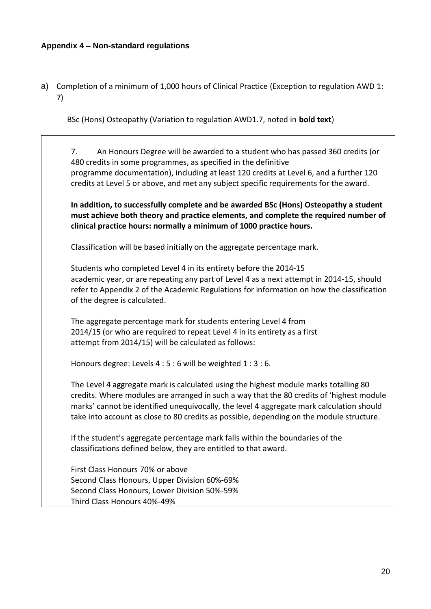#### **Appendix 4 – Non-standard regulations**

a) Completion of a minimum of 1,000 hours of Clinical Practice (Exception to regulation AWD 1: 7)

BSc (Hons) Osteopathy (Variation to regulation AWD1.7, noted in **bold text**)

7. An Honours Degree will be awarded to a student who has passed 360 credits (or 480 credits in some programmes, as specified in the definitive programme documentation), including at least 120 credits at Level 6, and a further 120 credits at Level 5 or above, and met any subject specific requirements for the award.

**In addition, to successfully complete and be awarded BSc (Hons) Osteopathy a student must achieve both theory and practice elements, and complete the required number of clinical practice hours: normally a minimum of 1000 practice hours.** 

Classification will be based initially on the aggregate percentage mark.

Students who completed Level 4 in its entirety before the 2014-15 academic year, or are repeating any part of Level 4 as a next attempt in 2014-15, should refer to Appendix 2 of the Academic Regulations for information on how the classification of the degree is calculated.

The aggregate percentage mark for students entering Level 4 from 2014/15 (or who are required to repeat Level 4 in its entirety as a first attempt from 2014/15) will be calculated as follows:

Honours degree: Levels 4 : 5 : 6 will be weighted 1 : 3 : 6.

The Level 4 aggregate mark is calculated using the highest module marks totalling 80 credits. Where modules are arranged in such a way that the 80 credits of 'highest module marks' cannot be identified unequivocally, the level 4 aggregate mark calculation should take into account as close to 80 credits as possible, depending on the module structure.

If the student's aggregate percentage mark falls within the boundaries of the classifications defined below, they are entitled to that award.

First Class Honours 70% or above Second Class Honours, Upper Division 60%-69% Second Class Honours, Lower Division 50%-59% Third Class Honours 40%-49%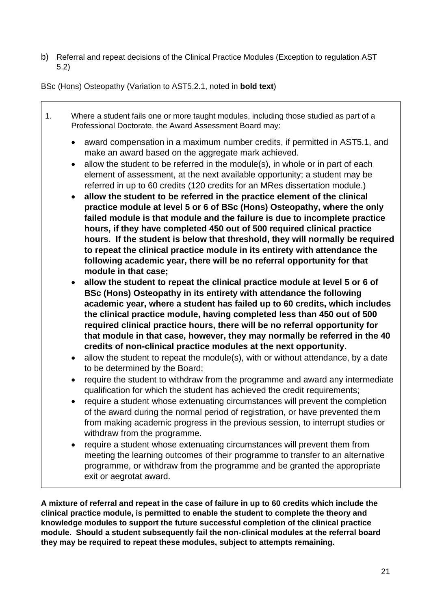b) Referral and repeat decisions of the Clinical Practice Modules (Exception to regulation AST 5.2)

BSc (Hons) Osteopathy (Variation to AST5.2.1, noted in **bold text**)

- 1. Where a student fails one or more taught modules, including those studied as part of a Professional Doctorate, the Award Assessment Board may: • award compensation in a maximum number credits, if permitted in AST5.1, and make an award based on the aggregate mark achieved. • allow the student to be referred in the module(s), in whole or in part of each element of assessment, at the next available opportunity; a student may be referred in up to 60 credits (120 credits for an MRes dissertation module.) • **allow the student to be referred in the practice element of the clinical practice module at level 5 or 6 of BSc (Hons) Osteopathy, where the only failed module is that module and the failure is due to incomplete practice hours, if they have completed 450 out of 500 required clinical practice hours. If the student is below that threshold, they will normally be required to repeat the clinical practice module in its entirety with attendance the following academic year, there will be no referral opportunity for that module in that case;** • **allow the student to repeat the clinical practice module at level 5 or 6 of BSc (Hons) Osteopathy in its entirety with attendance the following academic year, where a student has failed up to 60 credits, which includes the clinical practice module, having completed less than 450 out of 500 required clinical practice hours, there will be no referral opportunity for that module in that case, however, they may normally be referred in the 40 credits of non-clinical practice modules at the next opportunity.** • allow the student to repeat the module(s), with or without attendance, by a date to be determined by the Board;
	- require the student to withdraw from the programme and award any intermediate qualification for which the student has achieved the credit requirements;
	- require a student whose extenuating circumstances will prevent the completion of the award during the normal period of registration, or have prevented them from making academic progress in the previous session, to interrupt studies or withdraw from the programme.
	- require a student whose extenuating circumstances will prevent them from meeting the learning outcomes of their programme to transfer to an alternative programme, or withdraw from the programme and be granted the appropriate exit or aegrotat award.

**A mixture of referral and repeat in the case of failure in up to 60 credits which include the clinical practice module, is permitted to enable the student to complete the theory and knowledge modules to support the future successful completion of the clinical practice module. Should a student subsequently fail the non-clinical modules at the referral board they may be required to repeat these modules, subject to attempts remaining.**